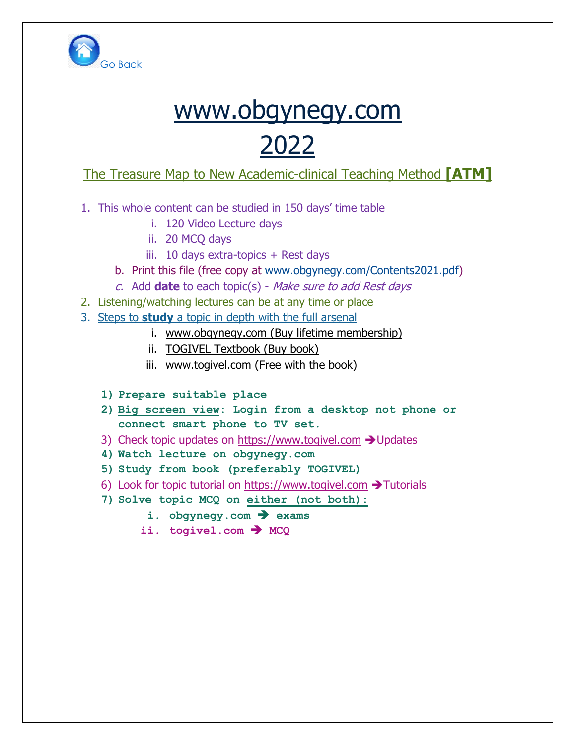

# [www.obgynegy.com](http://www.obgynegy.com/) 2022

### The Treasure Map to New Academic-clinical Teaching Method **[ATM]**

- 1. This whole content can be studied in 150 days' time table
	- i. 120 Video Lecture days
	- ii. 20 MCQ days
	- iii. 10 days extra-topics + Rest days
	- b. Print this file (free copy at [www.obgynegy.com/Contents2021.pdf\)](file:///F:/The%20book/Printed%20Version%2008dec2021/ppt%20modified%20for%20second%20edition/Obstetrics%20Part%201/www.obgynegy.com/Contents2021.pdf)
	- c. Add **date** to each topic(s) Make sure to add Rest days
- 2. Listening/watching lectures can be at any time or place
- 3. Steps to **study** a topic in depth with the full arsenal
	- i. [www.obgynegy.com](http://www.obgynegy.com/) (Buy lifetime membership)
	- ii. TOGIVEL Textbook (Buy book)
	- iii. [www.togivel.com](http://www.togivel.com/) (Free with the book)
	- **1) Prepare suitable place**
	- **2) Big screen view: Login from a desktop not phone or connect smart phone to TV set.**
	- 3) Check topic updates on [https://www.togivel.com](https://www.togivel.com/) ➔Updates
	- **4) Watch lecture on obgynegy.com**
	- **5) Study from book (preferably TOGIVEL)**
	- 6) Look for topic tutorial on [https://www.togivel.com](https://www.togivel.com/) ➔Tutorials
	- **7) Solve topic MCQ on either (not both):**
		- **i. obgynegy.com** ➔ **exams**
		- **ii. togivel.com** ➔ **MCQ**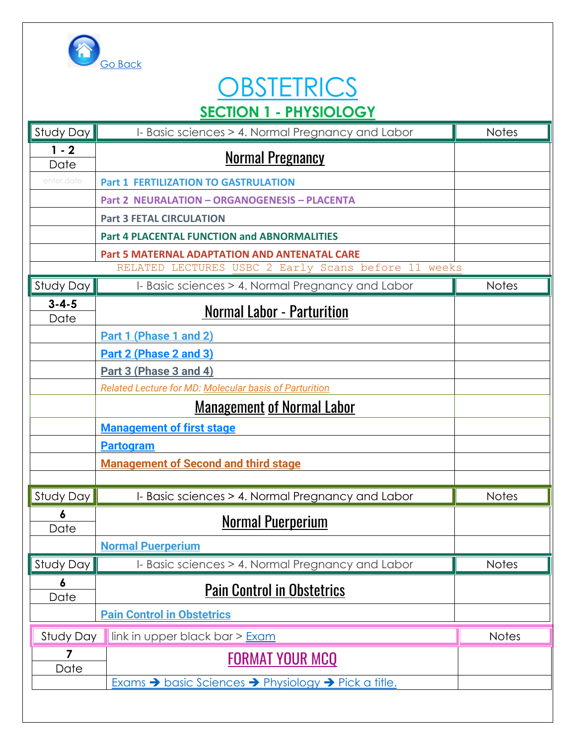

# **OBSTETRICS SECTION 1 - PHYSIOLOGY**

| Study Day           | I- Basic sciences > 4. Normal Pregnancy and Labor      | <b>Notes</b> |
|---------------------|--------------------------------------------------------|--------------|
| $1 - 2$<br>Date     | <b>Normal Pregnancy</b>                                |              |
| enter date          | <b>Part 1 FERTILIZATION TO GASTRULATION</b>            |              |
|                     | <b>Part 2 NEURALATION - ORGANOGENESIS - PLACENTA</b>   |              |
|                     | <b>Part 3 FETAL CIRCULATION</b>                        |              |
|                     | <b>Part 4 PLACENTAL FUNCTION and ABNORMALITIES</b>     |              |
|                     | <b>Part 5 MATERNAL ADAPTATION AND ANTENATAL CARE</b>   |              |
|                     | RELATED LECTURES USBC 2 Early Scans before 11 weeks    |              |
| Study Day           | I- Basic sciences > 4. Normal Pregnancy and Labor      | <b>Notes</b> |
| $3 - 4 - 5$<br>Date | <b>Normal Labor - Parturition</b>                      |              |
|                     | Part 1 (Phase 1 and 2)                                 |              |
|                     | Part 2 (Phase 2 and 3)                                 |              |
|                     | Part 3 (Phase 3 and 4)                                 |              |
|                     | Related Lecture for MD: Molecular basis of Parturition |              |
|                     | <u>Management of Normal Labor</u>                      |              |
|                     | <b>Management of first stage</b>                       |              |
|                     | <b>Partogram</b>                                       |              |
|                     | <b>Management of Second and third stage</b>            |              |
|                     |                                                        |              |
| Study Day           | I- Basic sciences > 4. Normal Pregnancy and Labor      | <b>Notes</b> |
| 6<br>Date           | <b>Normal Puerperium</b>                               |              |
|                     | <b>Normal Puerperium</b>                               |              |
| Study Day           | I- Basic sciences > 4. Normal Pregnancy and Labor      | <b>Notes</b> |
| 6<br>Date           | <b>Pain Control in Obstetrics</b>                      |              |
|                     | <b>Pain Control in Obstetrics</b>                      |              |
| Study Day           | link in upper black bar > Exam                         | <b>Notes</b> |
| 7                   | <b>FORMAT YOUR MCQ</b>                                 |              |
| Date                |                                                        |              |
|                     | Exams > basic Sciences > Physiology > Pick a title.    |              |
|                     |                                                        |              |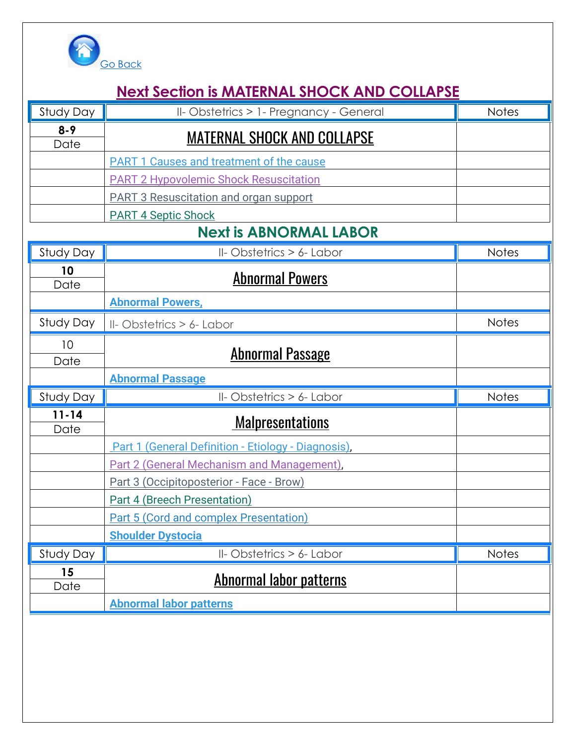

### **Next Section is MATERNAL SHOCK AND COLLAPSE**

| Study Day         | II-Obstetrics > 1- Pregnancy - General              | <b>Notes</b> |
|-------------------|-----------------------------------------------------|--------------|
| $8 - 9$<br>Date   | <b>MATERNAL SHOCK AND COLLAPSE</b>                  |              |
|                   | <b>PART 1 Causes and treatment of the cause</b>     |              |
|                   | <b>PART 2 Hypovolemic Shock Resuscitation</b>       |              |
|                   | <b>PART 3 Resuscitation and organ support</b>       |              |
|                   | <b>PART 4 Septic Shock</b>                          |              |
|                   | <b>Next is ABNORMAL LABOR</b>                       |              |
| Study Day         | II-Obstetrics > 6- Labor                            | <b>Notes</b> |
| 10<br>Date        | <b>Abnormal Powers</b>                              |              |
|                   | <b>Abnormal Powers,</b>                             |              |
| Study Day         | II-Obstetrics > 6- Labor                            | <b>Notes</b> |
| 10<br>Date        | <b>Abnormal Passage</b>                             |              |
|                   | <b>Abnormal Passage</b>                             |              |
| Study Day         | II-Obstetrics > 6- Labor                            | <b>Notes</b> |
| $11 - 14$<br>Date | <u>Malpresentations</u>                             |              |
|                   | Part 1 (General Definition - Etiology - Diagnosis), |              |
|                   | Part 2 (General Mechanism and Management),          |              |
|                   | Part 3 (Occipitoposterior - Face - Brow)            |              |
|                   | <b>Part 4 (Breech Presentation)</b>                 |              |
|                   | Part 5 (Cord and complex Presentation)              |              |
|                   | <b>Shoulder Dystocia</b>                            |              |
| Study Day         | II-Obstetrics > 6- Labor                            | Notes        |
| 15<br>Date        | <b>Abnormal labor patterns</b>                      |              |
|                   | <b>Abnormal labor patterns</b>                      |              |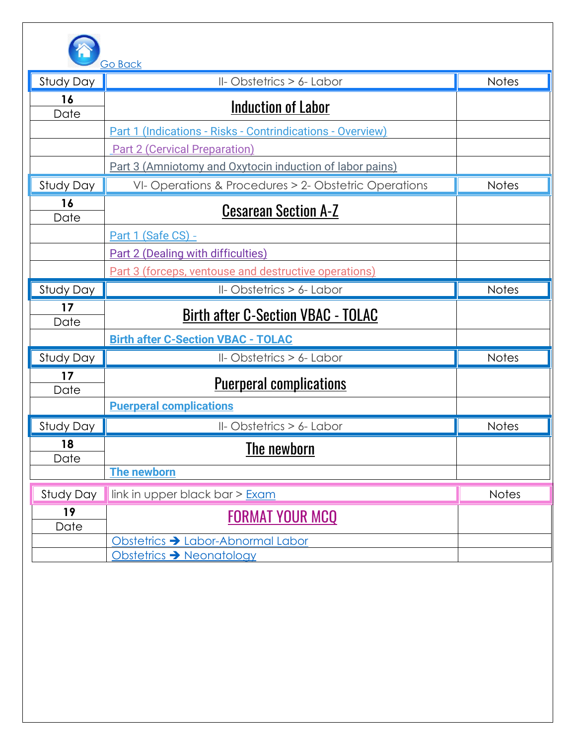

|            | <u>GO BACK</u>                                                |              |
|------------|---------------------------------------------------------------|--------------|
| Study Day  | II-Obstetrics > 6- Labor                                      | <b>Notes</b> |
| 16<br>Date | Induction of Labor                                            |              |
|            | Part 1 (Indications - Risks - Contrindications - Overview)    |              |
|            | <b>Part 2 (Cervical Preparation)</b>                          |              |
|            | Part 3 (Amniotomy and Oxytocin induction of labor pains)      |              |
| Study Day  | VI-Operations & Procedures > 2-Obstetric Operations           | <b>Notes</b> |
| 16<br>Date | <b>Cesarean Section A-Z</b>                                   |              |
|            | Part 1 (Safe CS) -                                            |              |
|            | <b>Part 2 (Dealing with difficulties)</b>                     |              |
|            | Part 3 (forceps, ventouse and destructive operations)         |              |
| Study Day  | II-Obstetrics > 6- Labor                                      | <b>Notes</b> |
| 17<br>Date | <b>Birth after C-Section VBAC - TOLAC</b>                     |              |
|            |                                                               |              |
|            | <b>Birth after C-Section VBAC - TOLAC</b>                     |              |
| Study Day  | II-Obstetrics > 6- Labor                                      | <b>Notes</b> |
| 17<br>Date | <u>Puerperal complications</u>                                |              |
|            | <b>Puerperal complications</b>                                |              |
| Study Day  | II-Obstetrics > 6- Labor                                      | <b>Notes</b> |
| 18<br>Date | The newborn                                                   |              |
|            | <b>The newborn</b>                                            |              |
| Study Day  | link in upper black bar > Exam                                | <b>Notes</b> |
| 19<br>Date | <b>FORMAT YOUR MCQ</b>                                        |              |
|            | Obstetrics > Labor-Abnormal Labor<br>Obstetrics → Neonatology |              |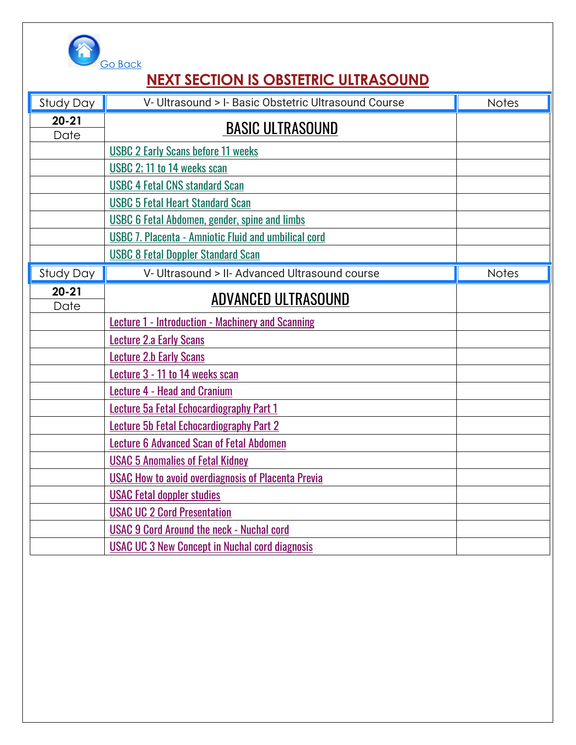

# **NEXT SECTION IS OBSTETRIC ULTRASOUND**

| Study Day         | V- Ultrasound > I- Basic Obstetric Ultrasound Course        | <b>Notes</b> |
|-------------------|-------------------------------------------------------------|--------------|
| $20 - 21$         | <b>BASIC ULTRASOUND</b>                                     |              |
| Date              |                                                             |              |
|                   | <b>USBC 2 Early Scans before 11 weeks</b>                   |              |
|                   | USBC 2; 11 to 14 weeks scan                                 |              |
|                   | <b>USBC 4 Fetal CNS standard Scan</b>                       |              |
|                   | <b>USBC 5 Fetal Heart Standard Scan</b>                     |              |
|                   | <b>USBC 6 Fetal Abdomen, gender, spine and limbs</b>        |              |
|                   | <b>USBC 7. Placenta - Amniotic Fluid and umbilical cord</b> |              |
|                   | <b>USBC 8 Fetal Doppler Standard Scan</b>                   |              |
| Study Day         | V- Ultrasound > II- Advanced Ultrasound course              | <b>Notes</b> |
| $20 - 21$<br>Date | <b>ADVANCED ULTRASOUND</b>                                  |              |
|                   | <b>Lecture 1 - Introduction - Machinery and Scanning</b>    |              |
|                   | <b>Lecture 2.a Early Scans</b>                              |              |
|                   | <b>Lecture 2.b Early Scans</b>                              |              |
|                   | Lecture 3 - 11 to 14 weeks scan                             |              |
|                   | <b>Lecture 4 - Head and Cranium</b>                         |              |
|                   | Lecture 5a Fetal Echocardiography Part 1                    |              |
|                   | <b>Lecture 5b Fetal Echocardiography Part 2</b>             |              |
|                   | <b>Lecture 6 Advanced Scan of Fetal Abdomen</b>             |              |
|                   | <b>USAC 5 Anomalies of Fetal Kidney</b>                     |              |
|                   | <b>USAC How to avoid overdiagnosis of Placenta Previa</b>   |              |
|                   | <b>USAC Fetal doppler studies</b>                           |              |
|                   | <b>USAC UC 2 Cord Presentation</b>                          |              |
|                   | <b>USAC 9 Cord Around the neck - Nuchal cord</b>            |              |
|                   | <b>USAC UC 3 New Concept in Nuchal cord diagnosis</b>       |              |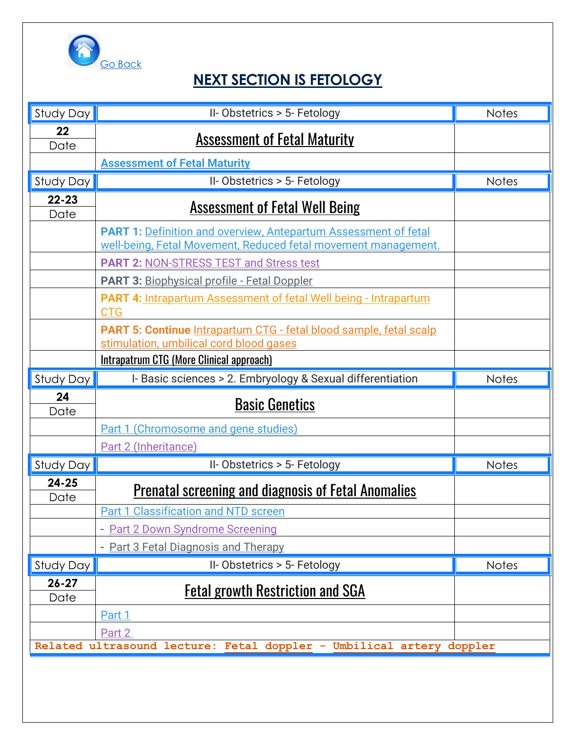

### **NEXT SECTION IS FETOLOGY**

| Study Day              | II-Obstetrics > 5- Fetology                                                    | <b>Notes</b> |
|------------------------|--------------------------------------------------------------------------------|--------------|
| 22                     | <b>Assessment of Fetal Maturity</b>                                            |              |
| Date                   |                                                                                |              |
|                        | <b>Assessment of Fetal Maturity</b>                                            | <b>Notes</b> |
| Study Day<br>$22 - 23$ | II-Obstetrics > 5- Fetology                                                    |              |
| Date                   | <b>Assessment of Fetal Well Being</b>                                          |              |
|                        | <b>PART 1: Definition and overview, Antepartum Assessment of fetal</b>         |              |
|                        | well-being, Fetal Movement, Reduced fetal movement management.                 |              |
|                        | <b>PART 2: NON-STRESS TEST and Stress test</b>                                 |              |
|                        | <b>PART 3: Biophysical profile - Fetal Doppler</b>                             |              |
|                        | PART 4: Intrapartum Assessment of fetal Well being - Intrapartum<br><b>CTG</b> |              |
|                        | <b>PART 5: Continue Intrapartum CTG - fetal blood sample, fetal scalp</b>      |              |
|                        | stimulation, umbilical cord blood gases                                        |              |
|                        | Intrapatrum CTG (More Clinical approach)                                       |              |
| Study Day              | I- Basic sciences > 2. Embryology & Sexual differentiation                     | <b>Notes</b> |
|                        |                                                                                |              |
| 24<br>Date             | <b>Basic Genetics</b>                                                          |              |
|                        | Part 1 (Chromosome and gene studies)                                           |              |
|                        | Part 2 (Inheritance)                                                           |              |
| Study Day              | II-Obstetrics > 5- Fetology                                                    | <b>Notes</b> |
| $24 - 25$              | <b>Prenatal screening and diagnosis of Fetal Anomalies</b>                     |              |
| Date                   | <b>Part 1 Classification and NTD screen</b>                                    |              |
|                        | - Part 2 Down Syndrome Screening                                               |              |
|                        | - Part 3 Fetal Diagnosis and Therapy                                           |              |
| Study Day              | II-Obstetrics > 5- Fetology                                                    | Notes        |
| $26 - 27$<br>Date      | <b>Fetal growth Restriction and SGA</b>                                        |              |
|                        | Part 1                                                                         |              |
|                        | Part 2                                                                         |              |
|                        | Related ultrasound lecture: Fetal doppler - Umbilical artery doppler           |              |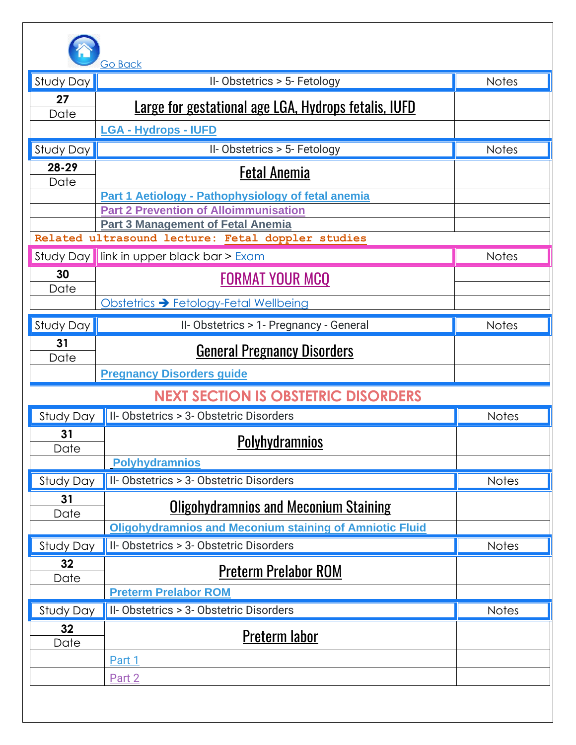

|                 | <b>Go Back</b>                                                                                |              |
|-----------------|-----------------------------------------------------------------------------------------------|--------------|
| Study Day       | II-Obstetrics > 5- Fetology                                                                   | <b>Notes</b> |
| 27              | <b>Large for gestational age LGA, Hydrops fetalis, IUFD</b>                                   |              |
| Date            |                                                                                               |              |
|                 | <b>LGA - Hydrops - IUFD</b>                                                                   |              |
| Study Day       | II-Obstetrics > 5- Fetology                                                                   | <b>Notes</b> |
| 28-29<br>Date   | <b>Fetal Anemia</b>                                                                           |              |
|                 | Part 1 Aetiology - Pathophysiology of fetal anemia                                            |              |
|                 | <b>Part 2 Prevention of Alloimmunisation</b>                                                  |              |
|                 | <b>Part 3 Management of Fetal Anemia</b><br>Related ultrasound lecture: Fetal doppler studies |              |
|                 |                                                                                               | <b>Notes</b> |
| Study Day<br>30 | link in upper black bar > Exam                                                                |              |
| Date            | <b>FORMAT YOUR MCQ</b>                                                                        |              |
|                 | Obstetrics > Fetology-Fetal Wellbeing                                                         |              |
| Study Day       | II-Obstetrics > 1- Pregnancy - General                                                        | <b>Notes</b> |
| 31              |                                                                                               |              |
| Date            | <b>General Pregnancy Disorders</b>                                                            |              |
|                 | <b>Pregnancy Disorders guide</b>                                                              |              |
|                 | <b>NEXT SECTION IS OBSTETRIC DISORDERS</b>                                                    |              |
| Study Day       | II-Obstetrics > 3-Obstetric Disorders                                                         | <b>Notes</b> |
| 31              | <b>Polyhydramnios</b>                                                                         |              |
| Date            | <b>Polyhydramnios</b>                                                                         |              |
| Study Day       | II-Obstetrics > 3-Obstetric Disorders                                                         | Notes        |
| 31              |                                                                                               |              |
| Date            | <b>Oligohydramnios and Meconium Staining</b>                                                  |              |
|                 | <b>Oligohydramnios and Meconium staining of Amniotic Fluid</b>                                |              |
| Study Day       | II-Obstetrics > 3-Obstetric Disorders                                                         | Notes        |
| 32 <sub>2</sub> | <b>Preterm Prelabor ROM</b>                                                                   |              |
| Date            |                                                                                               |              |
|                 | <b>Preterm Prelabor ROM</b><br>II-Obstetrics > 3-Obstetric Disorders                          | <b>Notes</b> |
| Study Day<br>32 |                                                                                               |              |
| Date            | Preterm labor                                                                                 |              |
|                 | Part 1                                                                                        |              |
|                 | Part 2                                                                                        |              |
|                 |                                                                                               |              |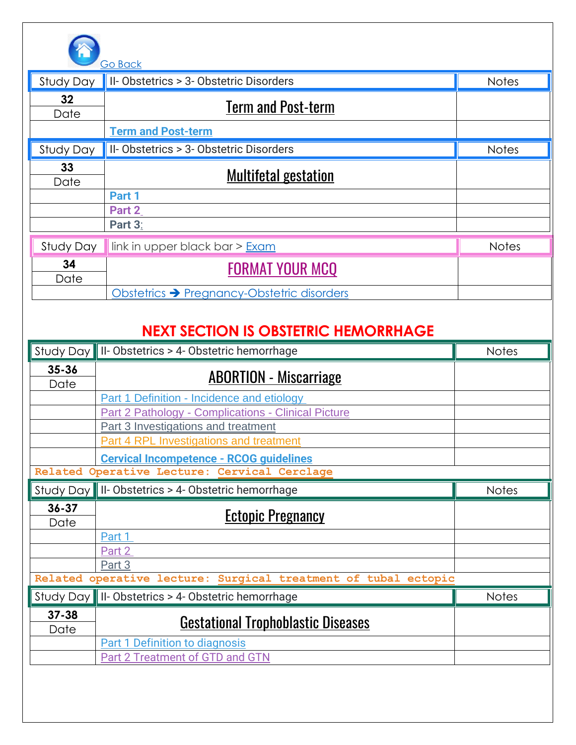

|                         | <b>Go Back</b>                             |              |
|-------------------------|--------------------------------------------|--------------|
| Study Day               | II-Obstetrics > 3-Obstetric Disorders      | <b>Notes</b> |
| 32 <sub>2</sub><br>Date | <b>Term and Post-term</b>                  |              |
|                         | <b>Term and Post-term</b>                  |              |
| Study Day               | II-Obstetrics > 3-Obstetric Disorders      | <b>Notes</b> |
| 33<br>Date              | Multifetal gestation                       |              |
|                         | Part 1                                     |              |
|                         | Part 2                                     |              |
|                         | Part 3:                                    |              |
| Study Day               | link in upper black bar > Exam             | <b>Notes</b> |
| 34<br>Date              | <b>FORMAT YOUR MCQ</b>                     |              |
|                         | Obstetrics → Pregnancy-Obstetric disorders |              |

### **NEXT SECTION IS OBSTETRIC HEMORRHAGE**

| $35 - 36$<br><b>ABORTION - Miscarriage</b><br>Date<br>Part 1 Definition - Incidence and etiology |              |
|--------------------------------------------------------------------------------------------------|--------------|
|                                                                                                  |              |
|                                                                                                  |              |
| Part 2 Pathology - Complications - Clinical Picture                                              |              |
| Part 3 Investigations and treatment                                                              |              |
| <b>Part 4 RPL Investigations and treatment</b>                                                   |              |
| <b>Cervical Incompetence - RCOG guidelines</b>                                                   |              |
| Related Operative Lecture: Cervical Cerclage                                                     |              |
| Study Day    II- Obstetrics > 4- Obstetric hemorrhage                                            | <b>Notes</b> |
| $36 - 37$<br><b>Ectopic Pregnancy</b><br>Date                                                    |              |
| Part 1                                                                                           |              |
| Part 2                                                                                           |              |
| Part 3                                                                                           |              |
| Related operative lecture: Surgical treatment of tubal ectopic                                   |              |
| Study Day    II- Obstetrics > 4- Obstetric hemorrhage                                            | <b>Notes</b> |
| $37 - 38$<br><b>Gestational Trophoblastic Diseases</b><br>Date                                   |              |
| <b>Part 1 Definition to diagnosis</b>                                                            |              |
| <b>Part 2 Treatment of GTD and GTN</b>                                                           |              |
|                                                                                                  |              |
|                                                                                                  |              |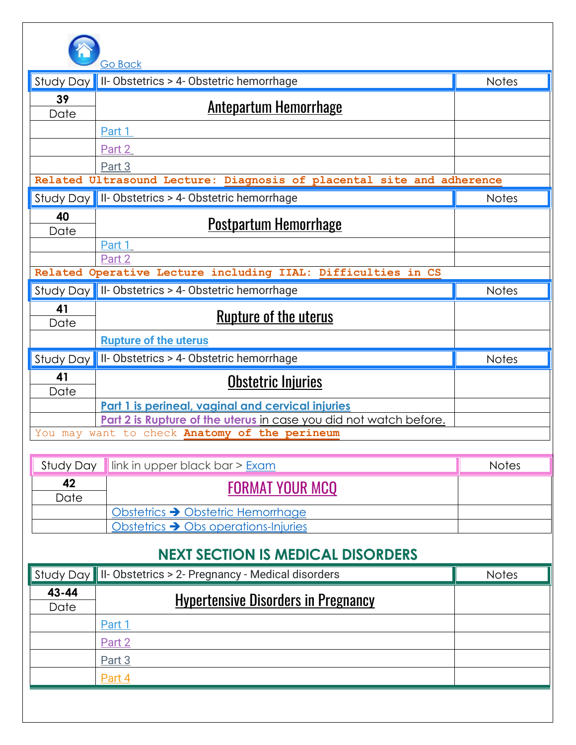

|            | <b>Go Back</b>                                                        |              |
|------------|-----------------------------------------------------------------------|--------------|
| Study Day  | II-Obstetrics > 4-Obstetric hemorrhage                                | <b>Notes</b> |
| 39         | <u>Antepartum Hemorrhage</u>                                          |              |
| Date       |                                                                       |              |
|            | Part 1                                                                |              |
|            | Part 2                                                                |              |
|            | Part 3                                                                |              |
|            | Related Ultrasound Lecture: Diagnosis of placental site and adherence |              |
|            | Study Day    II- Obstetrics > 4- Obstetric hemorrhage                 | <b>Notes</b> |
| 40         |                                                                       |              |
| Date       | <u>Postpartum Hemorrhage</u>                                          |              |
|            | Part 1                                                                |              |
|            | Part 2                                                                |              |
|            | Related Operative Lecture including IIAL: Difficulties in CS          |              |
|            | Study Day    II- Obstetrics > 4- Obstetric hemorrhage                 | <b>Notes</b> |
| 41<br>Date | <u>Rupture of the uterus</u>                                          |              |
|            | <b>Rupture of the uterus</b>                                          |              |
| Study Day  | II-Obstetrics > 4-Obstetric hemorrhage                                | <b>Notes</b> |
| 41         |                                                                       |              |
| Date       | Obstetric Injuries                                                    |              |
|            | Part 1 is perineal, vaginal and cervical injuries                     |              |
|            | Part 2 is Rupture of the uterus in case you did not watch before.     |              |
|            | You may want to check Anatomy of the perineum                         |              |
|            |                                                                       |              |

| Study Day | $\parallel$ link in upper black bar > $Exam$     | <b>Notes</b> |
|-----------|--------------------------------------------------|--------------|
| 42        | <b>FORMAT YOUR MCQ</b>                           |              |
| Date      |                                                  |              |
|           | Obstetrics → Obstetric Hemorrhage                |              |
|           | Obstetrics $\rightarrow$ Obs operations-Injuries |              |

### **NEXT SECTION IS MEDICAL DISORDERS**

|               | Study Day    II- Obstetrics > 2- Pregnancy - Medical disorders | <b>Notes</b> |
|---------------|----------------------------------------------------------------|--------------|
| 43-44<br>Date | <b>Hypertensive Disorders in Pregnancy</b>                     |              |
|               | Part 1                                                         |              |
|               | Part 2                                                         |              |
|               | Part 3                                                         |              |
|               | Part 4                                                         |              |
|               |                                                                |              |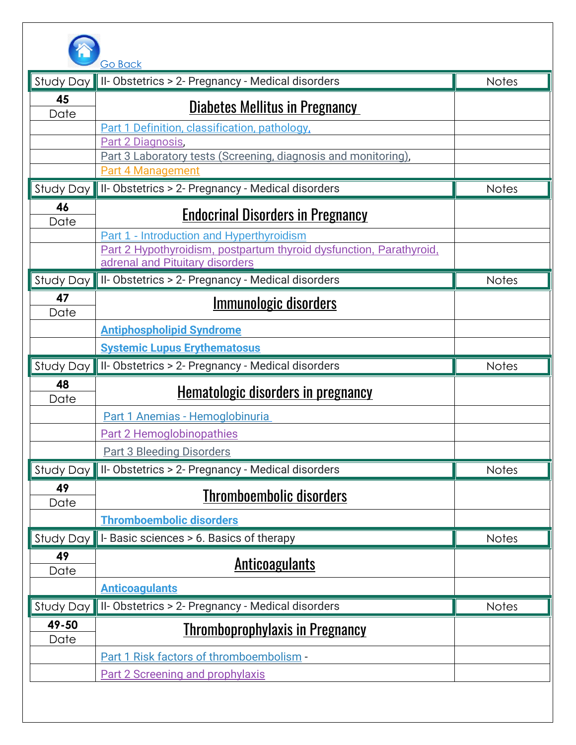

| <b>Study Day</b> | Go Back<br>II-Obstetrics > 2- Pregnancy - Medical disorders                                            | <b>Notes</b> |
|------------------|--------------------------------------------------------------------------------------------------------|--------------|
| 45               |                                                                                                        |              |
| Date             | <b>Diabetes Mellitus in Pregnancy</b>                                                                  |              |
|                  | Part 1 Definition, classification, pathology,                                                          |              |
|                  | Part 2 Diagnosis,<br>Part 3 Laboratory tests (Screening, diagnosis and monitoring),                    |              |
|                  | Part 4 Management                                                                                      |              |
| Study Day        | II-Obstetrics > 2- Pregnancy - Medical disorders                                                       | <b>Notes</b> |
| 46<br>Date       | <b>Endocrinal Disorders in Pregnancy</b>                                                               |              |
|                  | Part 1 - Introduction and Hyperthyroidism                                                              |              |
|                  | Part 2 Hypothyroidism, postpartum thyroid dysfunction, Parathyroid,<br>adrenal and Pituitary disorders |              |
| Study Day        | II-Obstetrics > 2- Pregnancy - Medical disorders                                                       | <b>Notes</b> |
| 47               | <u>Immunologic disorders</u>                                                                           |              |
| Date             |                                                                                                        |              |
|                  | <b>Antiphospholipid Syndrome</b>                                                                       |              |
|                  | <b>Systemic Lupus Erythematosus</b>                                                                    |              |
| Study Day        | II-Obstetrics > 2- Pregnancy - Medical disorders                                                       | <b>Notes</b> |
| 48<br>Date       | <u>Hematologic disorders in pregnancy</u>                                                              |              |
|                  | Part 1 Anemias - Hemoglobinuria                                                                        |              |
|                  | <b>Part 2 Hemoglobinopathies</b>                                                                       |              |
|                  | <b>Part 3 Bleeding Disorders</b>                                                                       |              |
| Study Day        | II-Obstetrics > 2- Pregnancy - Medical disorders                                                       | <b>Notes</b> |
| 49<br>Date       | <b>Thromboembolic disorders</b>                                                                        |              |
|                  | <b>Thromboembolic disorders</b>                                                                        |              |
| Study Day        | I-Basic sciences > 6. Basics of therapy                                                                | Notes        |
| 49               | <u>Anticoagulants</u>                                                                                  |              |
| Date             | <b>Anticoagulants</b>                                                                                  |              |
| Study Day        | II-Obstetrics > 2- Pregnancy - Medical disorders                                                       | <b>Notes</b> |
| 49-50            |                                                                                                        |              |
| Date             | <b>Thromboprophylaxis in Pregnancy</b>                                                                 |              |
|                  | Part 1 Risk factors of thromboembolism -                                                               |              |
|                  | <b>Part 2 Screening and prophylaxis</b>                                                                |              |
|                  |                                                                                                        |              |
|                  |                                                                                                        |              |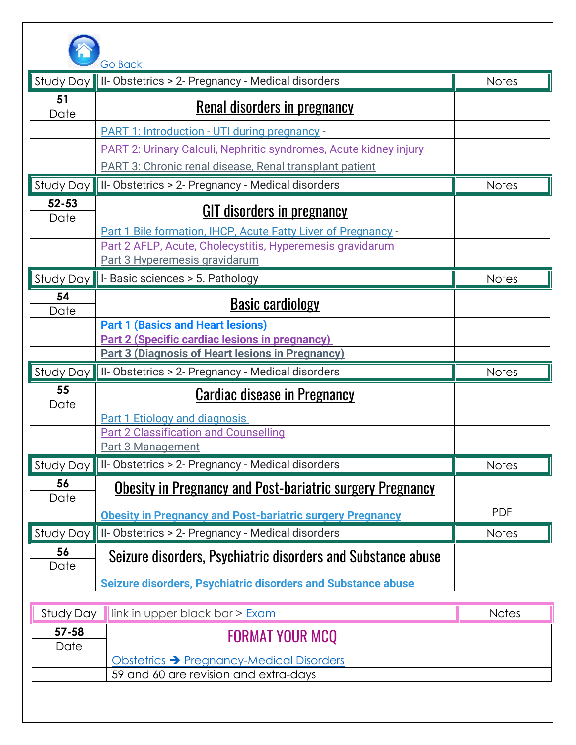

|                   | Go Back                                                                           |              |
|-------------------|-----------------------------------------------------------------------------------|--------------|
| Study Day         | II-Obstetrics > 2- Pregnancy - Medical disorders                                  | <b>Notes</b> |
| 51                | <b>Renal disorders in pregnancy</b>                                               |              |
| Date              |                                                                                   |              |
|                   | PART 1: Introduction - UTI during pregnancy -                                     |              |
|                   | PART 2: Urinary Calculi, Nephritic syndromes, Acute kidney injury                 |              |
|                   | <b>PART 3: Chronic renal disease, Renal transplant patient</b>                    |              |
| Study Day         | II-Obstetrics > 2- Pregnancy - Medical disorders                                  | <b>Notes</b> |
| $52 - 53$<br>Date | <b>GIT disorders in pregnancy</b>                                                 |              |
|                   | Part 1 Bile formation, IHCP, Acute Fatty Liver of Pregnancy -                     |              |
|                   | Part 2 AFLP, Acute, Cholecystitis, Hyperemesis gravidarum                         |              |
|                   | Part 3 Hyperemesis gravidarum                                                     |              |
| Study Day         | I- Basic sciences > 5. Pathology                                                  | <b>Notes</b> |
| 54<br>Date        | <b>Basic cardiology</b>                                                           |              |
|                   | <b>Part 1 (Basics and Heart lesions)</b>                                          |              |
|                   | <b>Part 2 (Specific cardiac lesions in pregnancy)</b>                             |              |
|                   | <b>Part 3 (Diagnosis of Heart lesions in Pregnancy)</b>                           |              |
| Study Day         | II-Obstetrics > 2- Pregnancy - Medical disorders                                  | <b>Notes</b> |
| 55<br>Date        | <b>Cardiac disease in Pregnancy</b>                                               |              |
|                   | <b>Part 1 Etiology and diagnosis</b>                                              |              |
|                   | <b>Part 2 Classification and Counselling</b>                                      |              |
|                   | <b>Part 3 Management</b>                                                          |              |
| Study Day         | II-Obstetrics > 2- Pregnancy - Medical disorders                                  | <b>Notes</b> |
| 56<br>Date        | <b>Obesity in Pregnancy and Post-bariatric surgery Pregnancy</b>                  |              |
|                   | <b>Obesity in Pregnancy and Post-bariatric surgery Pregnancy</b>                  | <b>PDF</b>   |
| Study Day         | II-Obstetrics > 2- Pregnancy - Medical disorders                                  | <b>Notes</b> |
| 56<br>Date        | Seizure disorders, Psychiatric disorders and Substance abuse                      |              |
|                   | <b>Seizure disorders, Psychiatric disorders and Substance abuse</b>               |              |
|                   |                                                                                   |              |
| Study Day         | link in upper black bar > Exam                                                    | <b>Notes</b> |
| $57 - 58$         | <b>FORMAT YOUR MCQ</b>                                                            |              |
|                   |                                                                                   |              |
| Date              |                                                                                   |              |
|                   | Obstetrics → Pregnancy-Medical Disorders<br>59 and 60 are revision and extra-days |              |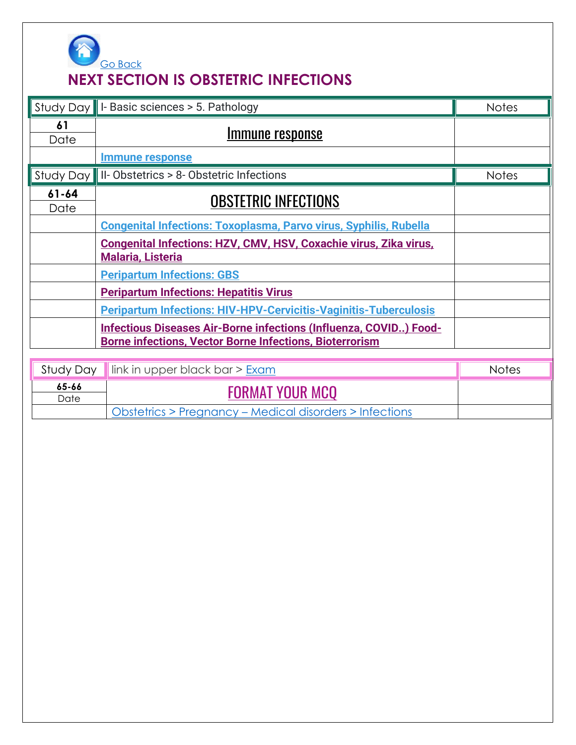

### **NEXT SECTION IS OBSTETRIC INFECTIONS**

|                   | Study Day    I- Basic sciences > 5. Pathology                                                                                       | <b>Notes</b> |
|-------------------|-------------------------------------------------------------------------------------------------------------------------------------|--------------|
| 61<br>Date        | <u>Immune response</u>                                                                                                              |              |
|                   | <b>Immune response</b>                                                                                                              |              |
| Study Day         | II-Obstetrics > 8-Obstetric Infections                                                                                              | <b>Notes</b> |
| $61 - 64$<br>Date | <b>OBSTETRIC INFECTIONS</b>                                                                                                         |              |
|                   | <b>Congenital Infections: Toxoplasma, Parvo virus, Syphilis, Rubella</b>                                                            |              |
|                   | Congenital Infections: HZV, CMV, HSV, Coxachie virus, Zika virus,<br><b>Malaria, Listeria</b>                                       |              |
|                   | <b>Peripartum Infections: GBS</b>                                                                                                   |              |
|                   | <b>Peripartum Infections: Hepatitis Virus</b>                                                                                       |              |
|                   | <b>Peripartum Infections: HIV-HPV-Cervicitis-Vaginitis-Tuberculosis</b>                                                             |              |
|                   | Infectious Diseases Air-Borne infections (Influenza, COVID) Food-<br><b>Borne infections, Vector Borne Infections, Bioterrorism</b> |              |
| Study Day         | link in upper black bar > Exam                                                                                                      | <b>Notes</b> |
| 65-66<br>Date     | <b>FORMAT YOUR MCQ</b>                                                                                                              |              |
|                   | Obstetrics > Pregnancy - Medical disorders > Infections                                                                             |              |
|                   |                                                                                                                                     |              |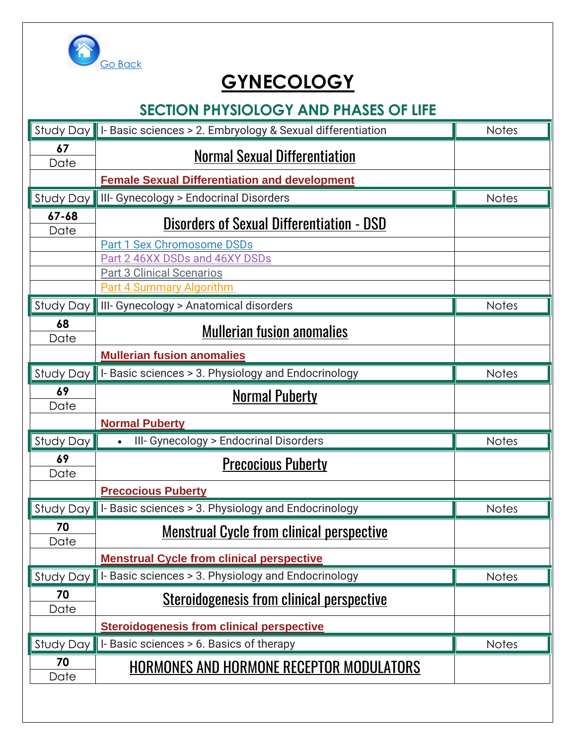

# **GYNECOLOGY**

### **SECTION PHYSIOLOGY AND PHASES OF LIFE**

| Study Day         | I- Basic sciences > 2. Embryology & Sexual differentiation          | <b>Notes</b> |
|-------------------|---------------------------------------------------------------------|--------------|
| 67<br>Date        | <b>Normal Sexual Differentiation</b>                                |              |
|                   | <b>Female Sexual Differentiation and development</b>                |              |
| Study Day         | III- Gynecology > Endocrinal Disorders                              | <b>Notes</b> |
| $67 - 68$<br>Date | <b>Disorders of Sexual Differentiation - DSD</b>                    |              |
|                   | <b>Part 1 Sex Chromosome DSDs</b>                                   |              |
|                   | Part 2 46XX DSDs and 46XY DSDs                                      |              |
|                   | <b>Part 3 Clinical Scenarios</b><br><b>Part 4 Summary Algorithm</b> |              |
| Study Day         | III- Gynecology > Anatomical disorders                              | <b>Notes</b> |
| 68                | <b>Mullerian fusion anomalies</b>                                   |              |
| Date              | <b>Mullerian fusion anomalies</b>                                   |              |
| Study Day         | I- Basic sciences > 3. Physiology and Endocrinology                 | <b>Notes</b> |
| 69                |                                                                     |              |
| Date              | <b>Normal Puberty</b>                                               |              |
|                   | <b>Normal Puberty</b>                                               |              |
| <b>Study Day</b>  | III- Gynecology > Endocrinal Disorders                              | <b>Notes</b> |
| 69<br>Date        | <b>Precocious Puberty</b>                                           |              |
|                   | <b>Precocious Puberty</b>                                           |              |
| <b>Study Day</b>  | I-Basic sciences > 3. Physiology and Endocrinology                  | <b>Notes</b> |
| 70<br>Date        | <u>Menstrual Cycle from clinical perspective</u>                    |              |
|                   | <b>Menstrual Cycle from clinical perspective</b>                    |              |
| Study Day         | I-Basic sciences > 3. Physiology and Endocrinology                  | <b>Notes</b> |
| 70<br>Date        | <b>Steroidogenesis from clinical perspective</b>                    |              |
|                   | <b>Steroidogenesis from clinical perspective</b>                    |              |
| <b>Study Day</b>  | I-Basic sciences > 6. Basics of therapy                             | <b>Notes</b> |
| 70<br>Date        | <u>HORMONES AND HORMONE RECEPTOR MODULATORS</u>                     |              |
|                   |                                                                     |              |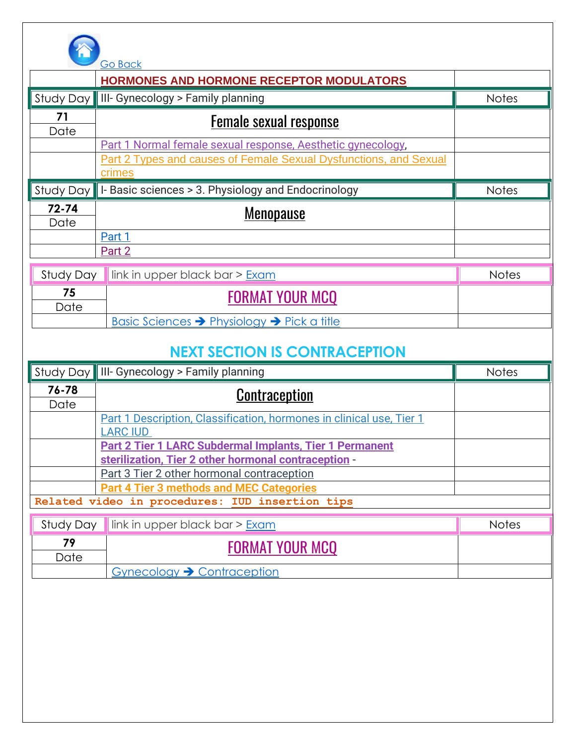

|                                      | <b>Go Back</b>                                                                                                                             |              |  |
|--------------------------------------|--------------------------------------------------------------------------------------------------------------------------------------------|--------------|--|
|                                      | <b>HORMONES AND HORMONE RECEPTOR MODULATORS</b>                                                                                            |              |  |
| Study Day                            | III- Gynecology > Family planning                                                                                                          | <b>Notes</b> |  |
| 71<br>Date                           | <b>Female sexual response</b>                                                                                                              |              |  |
|                                      | Part 1 Normal female sexual response, Aesthetic gynecology,<br>Part 2 Types and causes of Female Sexual Dysfunctions, and Sexual<br>crimes |              |  |
| Study Day                            | I-Basic sciences > 3. Physiology and Endocrinology                                                                                         | <b>Notes</b> |  |
| $72 - 74$<br>Date                    | <b>Menopause</b>                                                                                                                           |              |  |
|                                      | Part 1                                                                                                                                     |              |  |
|                                      | Part 2                                                                                                                                     |              |  |
| Study Day                            | link in upper black bar > Exam                                                                                                             | <b>Notes</b> |  |
| 75<br>Date                           | <b>FORMAT YOUR MCQ</b>                                                                                                                     |              |  |
|                                      | <u>Basic Sciences → Physiology → Pick a title</u>                                                                                          |              |  |
| <b>NEXT SECTION IS CONTRACEPTION</b> |                                                                                                                                            |              |  |
|                                      | Study Day    III- Gynecology > Family planning                                                                                             | <b>Notes</b> |  |

|           | siour Dur Mini Syncoology Fannily planning                           | .            |
|-----------|----------------------------------------------------------------------|--------------|
| 76-78     | <b>Contraception</b>                                                 |              |
| Date      |                                                                      |              |
|           | Part 1 Description, Classification, hormones in clinical use, Tier 1 |              |
|           | <b>LARC IUD</b>                                                      |              |
|           | <b>Part 2 Tier 1 LARC Subdermal Implants, Tier 1 Permanent</b>       |              |
|           | sterilization, Tier 2 other hormonal contraception -                 |              |
|           | Part 3 Tier 2 other hormonal contraception                           |              |
|           | <b>Part 4 Tier 3 methods and MEC Categories</b>                      |              |
|           | Related video in procedures: IUD insertion tips                      |              |
|           |                                                                      |              |
| Study Day | link in upper black bar > Exam                                       | <b>Notes</b> |
| - -       |                                                                      |              |

| 70   | <b>FORMAT YOUR MCO</b>                 |  |
|------|----------------------------------------|--|
| Date |                                        |  |
|      | Gynecology $\rightarrow$ Contraception |  |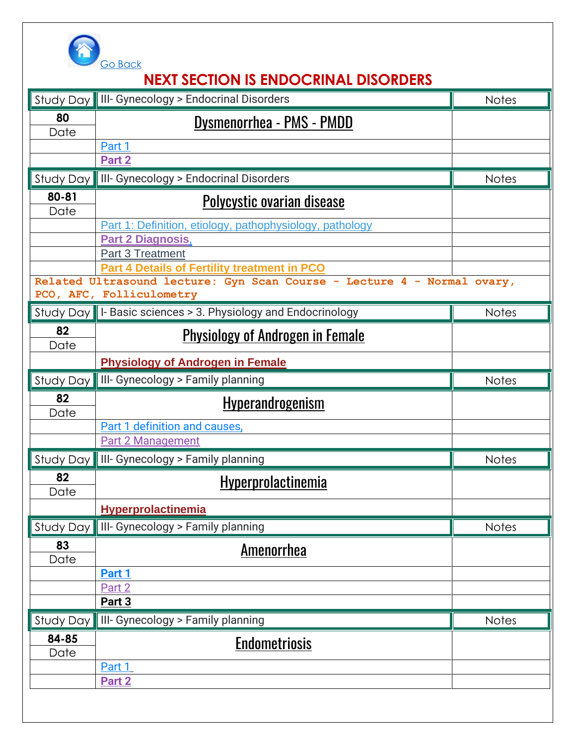

# **NEXT SECTION IS [ENDOCRINAL DISORDERS](https://www.obgynegy.com/lectures/category/endocrinal-disorders)**

|            | Study Day    III- Gynecology > Endocrinal Disorders                     | <b>Notes</b> |
|------------|-------------------------------------------------------------------------|--------------|
| 80<br>Date | <b>Dysmenorrhea - PMS - PMDD</b>                                        |              |
|            | Part 1                                                                  |              |
|            | Part 2                                                                  |              |
| Study Day  | III- Gynecology > Endocrinal Disorders                                  | <b>Notes</b> |
| $80 - 81$  | <b>Polycystic ovarian disease</b>                                       |              |
| Date       | Part 1: Definition, etiology, pathophysiology, pathology                |              |
|            | <b>Part 2 Diagnosis,</b>                                                |              |
|            | <b>Part 3 Treatment</b>                                                 |              |
|            | <b>Part 4 Details of Fertility treatment in PCO</b>                     |              |
|            | Related Ultrasound lecture: Gyn Scan Course - Lecture 4 - Normal ovary, |              |
|            | PCO, AFC, Folliculometry                                                |              |
|            | Study Day    I- Basic sciences > 3. Physiology and Endocrinology        | <b>Notes</b> |
| 82<br>Date | <b>Physiology of Androgen in Female</b>                                 |              |
|            | <b>Physiology of Androgen in Female</b>                                 |              |
| Study Day  | III- Gynecology > Family planning                                       | <b>Notes</b> |
| 82         | <u>Hyperandrogenism</u>                                                 |              |
| Date       | Part 1 definition and causes,                                           |              |
|            | <b>Part 2 Management</b>                                                |              |
| Study Day  | III- Gynecology > Family planning                                       | <b>Notes</b> |
| 82<br>Date | Hyperprolactinemia                                                      |              |
|            | <b>Hyperprolactinemia</b>                                               |              |
| Study Day  | III- Gynecology > Family planning                                       | <b>Notes</b> |
| 83         | <u>Amenorrhea</u>                                                       |              |
| Date       | Part 1                                                                  |              |
|            | Part 2                                                                  |              |
|            | Part 3                                                                  |              |
| Study Day  | III- Gynecology > Family planning                                       | <b>Notes</b> |
| 84-85      | <u>Endometriosis</u>                                                    |              |
| Date       | Part 1                                                                  |              |
|            | Part 2                                                                  |              |
|            |                                                                         |              |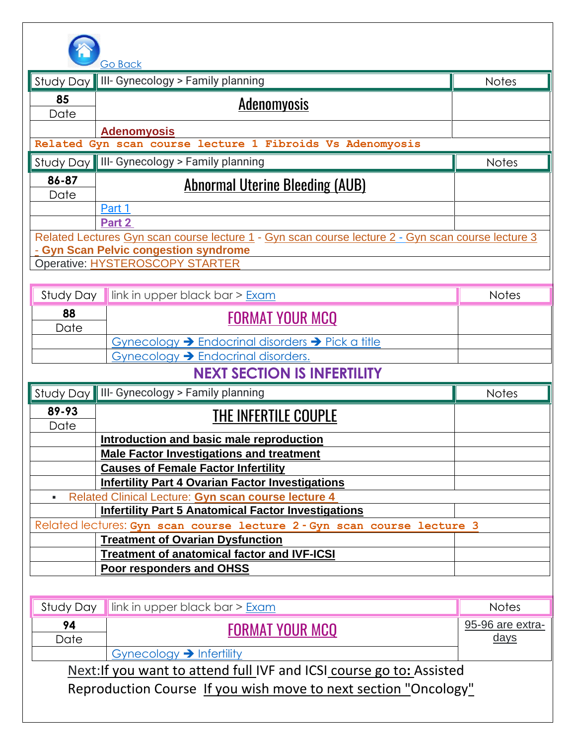

|               | <b>Go Back</b>                                                                                                    |                  |
|---------------|-------------------------------------------------------------------------------------------------------------------|------------------|
| Study Day     | III- Gynecology > Family planning                                                                                 | <b>Notes</b>     |
| 85            | <b>Adenomyosis</b>                                                                                                |                  |
| Date          |                                                                                                                   |                  |
|               | <b>Adenomyosis</b><br>Related Gyn scan course lecture 1 Fibroids Vs Adenomyosis                                   |                  |
|               |                                                                                                                   |                  |
|               | Study Day    III- Gynecology > Family planning                                                                    | <b>Notes</b>     |
| 86-87<br>Date | <u> Abnormal Uterine Bleeding (AUB)</u>                                                                           |                  |
|               | Part 1                                                                                                            |                  |
|               | Part 2                                                                                                            |                  |
|               | Related Lectures Gyn scan course lecture 1 - Gyn scan course lecture 2 - Gyn scan course lecture 3                |                  |
|               | - Gyn Scan Pelvic congestion syndrome<br>Operative: HYSTEROSCOPY STARTER                                          |                  |
|               |                                                                                                                   |                  |
| Study Day     | link in upper black bar > Exam                                                                                    | <b>Notes</b>     |
| 88            | <b>FORMAT YOUR MCQ</b>                                                                                            |                  |
| Date          |                                                                                                                   |                  |
|               | Gynecology > Endocrinal disorders > Pick a title                                                                  |                  |
|               | Gynecology > Endocrinal disorders.                                                                                |                  |
|               | <b>NEXT SECTION IS INFERTILITY</b>                                                                                |                  |
|               | Study Day    III- Gynecology > Family planning                                                                    | <b>Notes</b>     |
| 89-93         | <b>THE INFERTILE COUPLE</b>                                                                                       |                  |
| Date          | Introduction and basic male reproduction                                                                          |                  |
|               | <b>Male Factor Investigations and treatment</b>                                                                   |                  |
|               | <b>Causes of Female Factor Infertility</b>                                                                        |                  |
|               | <b>Infertility Part 4 Ovarian Factor Investigations</b>                                                           |                  |
|               | Related Clinical Lecture: Gyn scan course lecture 4<br><b>Infertility Part 5 Anatomical Factor Investigations</b> |                  |
|               | Related lectures: Gyn scan course lecture 2 - Gyn scan course lecture 3                                           |                  |
|               | <b>Treatment of Ovarian Dysfunction</b>                                                                           |                  |
|               | <b>Treatment of anatomical factor and IVF-ICSI</b>                                                                |                  |
|               | <b>Poor responders and OHSS</b>                                                                                   |                  |
|               |                                                                                                                   |                  |
| Study Day     | link in upper black bar > Exam                                                                                    | <b>Notes</b>     |
| 94            | <u>FORMAT YOUR MCQ</u>                                                                                            | 95-96 are extra- |
| Date          |                                                                                                                   | <u>days</u>      |
|               |                                                                                                                   |                  |
|               | Gynecology $\rightarrow$ Infertility                                                                              |                  |
|               | Next: If you want to attend full IVF and ICSI course go to: Assisted                                              |                  |
|               | Reproduction Course If you wish move to next section "Oncology"                                                   |                  |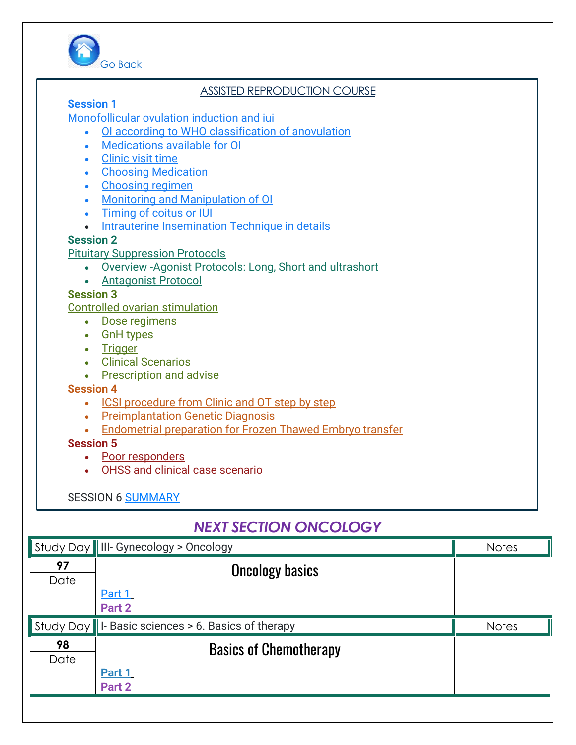

#### ASSISTED REPRODUCTION COURSE

#### **[Session 1](https://www.obgynegy.com/lectures/detail/session-1-assisted-reproduction-course-monofollicular-ovulation-induction-and-iui)**

#### [Monofollicular ovulation induction and iui](https://www.obgynegy.com/lectures/detail/session-1-assisted-reproduction-course-monofollicular-ovulation-induction-and-iui)

- [OI according to WHO classification of anovulation](https://www.obgynegy.com/lectures/detail/session-1-assisted-reproduction-course-monofollicular-ovulation-induction-and-iui)
- [Medications available for OI](https://www.obgynegy.com/lectures/detail/session-1-assisted-reproduction-course-monofollicular-ovulation-induction-and-iui)
- [Clinic visit time](https://www.obgynegy.com/lectures/detail/session-1-assisted-reproduction-course-monofollicular-ovulation-induction-and-iui)
- [Choosing Medication](https://www.obgynegy.com/lectures/detail/session-1-assisted-reproduction-course-monofollicular-ovulation-induction-and-iui)
- [Choosing regimen](https://www.obgynegy.com/lectures/detail/session-1-assisted-reproduction-course-monofollicular-ovulation-induction-and-iui)
- [Monitoring and Manipulation of OI](https://www.obgynegy.com/lectures/detail/session-1-assisted-reproduction-course-monofollicular-ovulation-induction-and-iui)
- [Timing of coitus or IUI](https://www.obgynegy.com/lectures/detail/session-1-assisted-reproduction-course-monofollicular-ovulation-induction-and-iui)
- [Intrauterine Insemination Technique in details](https://www.obgynegy.com/lectures/detail/session-1-assisted-reproduction-course-monofollicular-ovulation-induction-and-iui)

#### **[Session 2](https://www.obgynegy.com/lectures/detail/session-1-assisted-reproduction-course-monofollicular-ovulation-induction-and-iui/part-2)**

[Pituitary Suppression Protocols](https://www.obgynegy.com/lectures/detail/session-1-assisted-reproduction-course-monofollicular-ovulation-induction-and-iui/part-2)

- Overview [-Agonist Protocols: Long, Short and ultrashort](https://www.obgynegy.com/lectures/detail/session-1-assisted-reproduction-course-monofollicular-ovulation-induction-and-iui/part-2)
- [Antagonist](https://www.obgynegy.com/lectures/detail/session-1-assisted-reproduction-course-monofollicular-ovulation-induction-and-iui/part-2) Protocol

#### **[Session 3](https://www.obgynegy.com/lectures/detail/session-1-assisted-reproduction-course-monofollicular-ovulation-induction-and-iui/part-3)**

[Controlled ovarian stimulation](https://www.obgynegy.com/lectures/detail/session-1-assisted-reproduction-course-monofollicular-ovulation-induction-and-iui/part-3)

- [Dose regimens](https://www.obgynegy.com/lectures/detail/session-1-assisted-reproduction-course-monofollicular-ovulation-induction-and-iui/part-3)
- [GnH types](https://www.obgynegy.com/lectures/detail/session-1-assisted-reproduction-course-monofollicular-ovulation-induction-and-iui/part-3)
- [Trigger](https://www.obgynegy.com/lectures/detail/session-1-assisted-reproduction-course-monofollicular-ovulation-induction-and-iui/part-3)
- [Clinical Scenarios](https://www.obgynegy.com/lectures/detail/session-1-assisted-reproduction-course-monofollicular-ovulation-induction-and-iui/part-3)
- [Prescription and advise](https://www.obgynegy.com/lectures/detail/session-1-assisted-reproduction-course-monofollicular-ovulation-induction-and-iui/part-3)

#### **[Session 4](https://www.obgynegy.com/lectures/detail/session-1-assisted-reproduction-course-monofollicular-ovulation-induction-and-iui/part-4)**

- [ICSI procedure from Clinic and OT step by step](https://www.obgynegy.com/lectures/detail/session-1-assisted-reproduction-course-monofollicular-ovulation-induction-and-iui/part-4)
- [Preimplantation Genetic Diagnosis](https://www.obgynegy.com/lectures/detail/session-1-assisted-reproduction-course-monofollicular-ovulation-induction-and-iui/part-4)
- [Endometrial preparation for Frozen Thawed Embryo transfer](https://www.obgynegy.com/lectures/detail/session-1-assisted-reproduction-course-monofollicular-ovulation-induction-and-iui/part-4)

#### **[Session 5](https://www.obgynegy.com/lectures/detail/session-1-assisted-reproduction-course-monofollicular-ovulation-induction-and-iui/part-5)**

- [Poor responders](https://www.obgynegy.com/lectures/detail/session-1-assisted-reproduction-course-monofollicular-ovulation-induction-and-iui/part-5)
- [OHSS and clinical case scenario](https://www.obgynegy.com/lectures/detail/session-1-assisted-reproduction-course-monofollicular-ovulation-induction-and-iui/part-5)

#### SESSION 6 [SUMMARY](https://www.obgynegy.com/lectures/detail/sessions-summary)

### *NEXT SECTION ONCOLOGY*

|      | Study Day    III- Gynecology > Oncology               | <b>Notes</b> |
|------|-------------------------------------------------------|--------------|
| 97   | <b>Oncology basics</b>                                |              |
| Date |                                                       |              |
|      | Part 1                                                |              |
|      | Part 2                                                |              |
|      | Study Day    I- Basic sciences > 6. Basics of therapy | <b>Notes</b> |
| 98   | <b>Basics of Chemotherapy</b>                         |              |
| Date |                                                       |              |
|      | Part 1                                                |              |
|      | Part 2                                                |              |
|      |                                                       |              |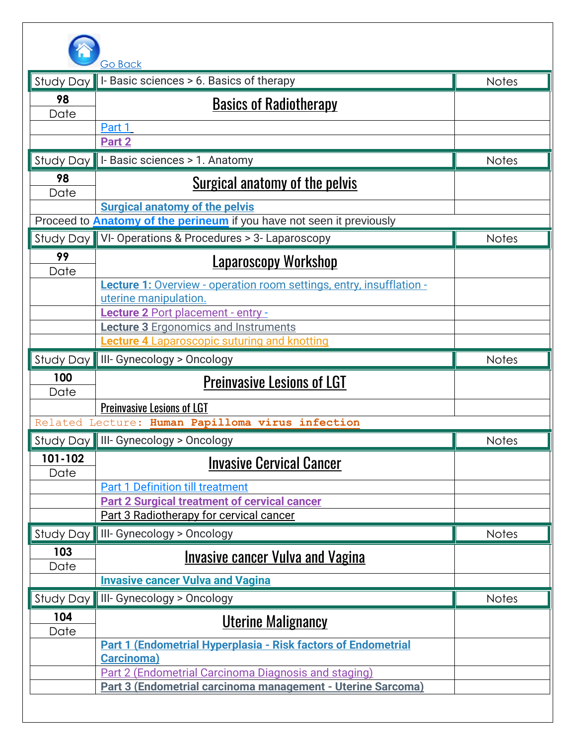

| I-Basic sciences > 6. Basics of therapy<br><b>Study Day</b><br>98<br>Date<br>Part 1<br>Part 2<br>I-Basic sciences > 1. Anatomy<br>Study Day | <b>Notes</b><br><b>Basics of Radiotherapy</b>  |
|---------------------------------------------------------------------------------------------------------------------------------------------|------------------------------------------------|
|                                                                                                                                             |                                                |
|                                                                                                                                             |                                                |
|                                                                                                                                             |                                                |
|                                                                                                                                             |                                                |
|                                                                                                                                             |                                                |
|                                                                                                                                             | <b>Notes</b>                                   |
| 98<br>Date                                                                                                                                  | <u>Surgical anatomy of the pelvis</u>          |
| <b>Surgical anatomy of the pelvis</b>                                                                                                       |                                                |
| Proceed to <b>Anatomy of the perineum</b> if you have not seen it previously                                                                |                                                |
| Study Day    VI- Operations & Procedures > 3- Laparoscopy                                                                                   | <b>Notes</b>                                   |
| 99<br>Date                                                                                                                                  | <u>Laparoscopy Workshop</u>                    |
| <b>Lecture 1:</b> Overview - operation room settings, entry, insufflation -                                                                 |                                                |
| uterine manipulation.                                                                                                                       |                                                |
| Lecture 2 Port placement - entry -                                                                                                          |                                                |
| <b>Lecture 3 Ergonomics and Instruments</b><br><b>Lecture 4 Laparoscopic suturing and knotting</b>                                          |                                                |
| III- Gynecology > Oncology<br>Study Day                                                                                                     | <b>Notes</b>                                   |
| 100                                                                                                                                         |                                                |
| Date                                                                                                                                        | <b>Preinvasive Lesions of LGT</b>              |
| <b>Preinvasive Lesions of LGT</b>                                                                                                           |                                                |
| Related Lecture: Human Papilloma virus infection                                                                                            |                                                |
| Study Day    III- Gynecology > Oncology                                                                                                     | <b>Notes</b>                                   |
| 101-102<br>Date                                                                                                                             | <b>Invasive Cervical Cancer</b>                |
| <b>Part 1 Definition till treatment</b>                                                                                                     |                                                |
| <b>Part 2 Surgical treatment of cervical cancer</b>                                                                                         |                                                |
| Part 3 Radiotherapy for cervical cancer                                                                                                     |                                                |
| III- Gynecology > Oncology<br>Study Day                                                                                                     | <b>Notes</b>                                   |
| 103<br>Date                                                                                                                                 | <u><b>Invasive cancer Vulva and Vagina</b></u> |
| <b>Invasive cancer Vulva and Vagina</b>                                                                                                     |                                                |
| III- Gynecology > Oncology<br>Study Day                                                                                                     | <b>Notes</b>                                   |
| 104                                                                                                                                         |                                                |
| Date                                                                                                                                        | <u>Uterine Malignancy</u>                      |
| <b>Part 1 (Endometrial Hyperplasia - Risk factors of Endometrial</b>                                                                        |                                                |
| <b>Carcinoma</b> )                                                                                                                          |                                                |
| Part 2 (Endometrial Carcinoma Diagnosis and staging)<br>Part 3 (Endometrial carcinoma management - Uterine Sarcoma)                         |                                                |
|                                                                                                                                             |                                                |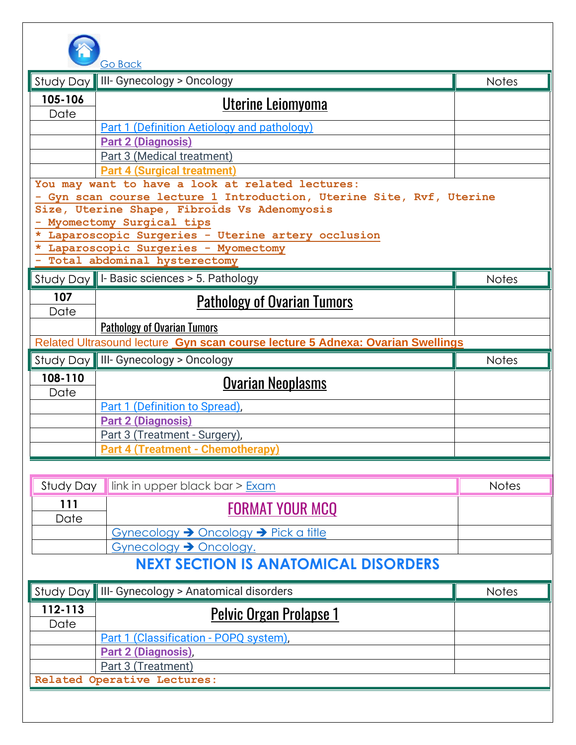

|                                                                                                                                                                                                                                                                                                                                    | <b>GO RACK</b>                                                                 |              |
|------------------------------------------------------------------------------------------------------------------------------------------------------------------------------------------------------------------------------------------------------------------------------------------------------------------------------------|--------------------------------------------------------------------------------|--------------|
|                                                                                                                                                                                                                                                                                                                                    | Study Day    III- Gynecology > Oncology                                        | <b>Notes</b> |
| 105-106<br>Date                                                                                                                                                                                                                                                                                                                    | <u>Uterine Leiomyoma</u>                                                       |              |
|                                                                                                                                                                                                                                                                                                                                    | <b>Part 1 (Definition Aetiology and pathology)</b>                             |              |
|                                                                                                                                                                                                                                                                                                                                    | <b>Part 2 (Diagnosis)</b>                                                      |              |
|                                                                                                                                                                                                                                                                                                                                    | Part 3 (Medical treatment)                                                     |              |
|                                                                                                                                                                                                                                                                                                                                    | <b>Part 4 (Surgical treatment)</b>                                             |              |
| You may want to have a look at related lectures:<br>Gyn scan course lecture 1 Introduction, Uterine Site, Rvf, Uterine<br>Size, Uterine Shape, Fibroids Vs Adenomyosis<br>Myomectomy Surgical tips<br>* Laparoscopic Surgeries - Uterine artery occlusion<br>* Laparoscopic Surgeries - Myomectomy<br>Total abdominal hysterectomy |                                                                                |              |
|                                                                                                                                                                                                                                                                                                                                    | Study Day    I- Basic sciences > 5. Pathology                                  | <b>Notes</b> |
| 107<br>Date                                                                                                                                                                                                                                                                                                                        | <b>Pathology of Ovarian Tumors</b>                                             |              |
|                                                                                                                                                                                                                                                                                                                                    | <b>Pathology of Ovarian Tumors</b>                                             |              |
|                                                                                                                                                                                                                                                                                                                                    | Related Ultrasound lecture Gyn scan course lecture 5 Adnexa: Ovarian Swellings |              |
|                                                                                                                                                                                                                                                                                                                                    | Study Day    III- Gynecology > Oncology                                        | <b>Notes</b> |
| 108-110<br>Date                                                                                                                                                                                                                                                                                                                    | <u>Ovarian Neoplasms</u>                                                       |              |
|                                                                                                                                                                                                                                                                                                                                    | Part 1 (Definition to Spread),                                                 |              |
|                                                                                                                                                                                                                                                                                                                                    | <b>Part 2 (Diagnosis)</b>                                                      |              |
|                                                                                                                                                                                                                                                                                                                                    | Part 3 (Treatment - Surgery),                                                  |              |
|                                                                                                                                                                                                                                                                                                                                    | <b>Part 4 (Treatment - Chemotherapy)</b>                                       |              |
|                                                                                                                                                                                                                                                                                                                                    |                                                                                |              |
|                                                                                                                                                                                                                                                                                                                                    | $R_{\rm total}$ $R_{\rm max}$ lightig upper blook bors $\sum$                  | $N = + -$    |

|      | Study Day $\parallel$ link in upper black bar > $Exam$ | <b>Notes</b> |
|------|--------------------------------------------------------|--------------|
| 111  | <b>FORMAT YOUR MCQ</b>                                 |              |
| Date |                                                        |              |
|      | Gynecology → Oncology → Pick a title                   |              |
|      | Gynecology - Oncology.                                 |              |
|      | LIMVIM AMAMIA LI IA ALIAMA LILA LI INIA A NIN MINA     |              |

### **NEXT SECTION IS ANATOMICAL DISORDERS**

|                             | Study Day    III- Gynecology > Anatomical disorders | <b>Notes</b> |
|-----------------------------|-----------------------------------------------------|--------------|
| 112-113<br>Date             | <b>Pelvic Organ Prolapse 1</b>                      |              |
|                             | Part 1 (Classification - POPQ system),              |              |
|                             | <b>Part 2 (Diagnosis)</b> ,                         |              |
|                             | Part 3 (Treatment)                                  |              |
| Related Operative Lectures: |                                                     |              |
|                             |                                                     |              |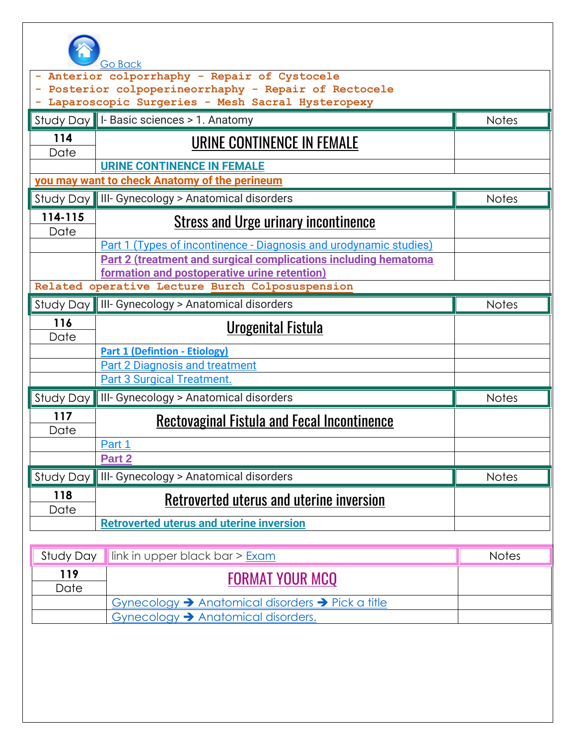

|                 | <b>Go Back</b>                                                         |              |
|-----------------|------------------------------------------------------------------------|--------------|
|                 | Anterior colporrhaphy - Repair of Cystocele                            |              |
|                 | Posterior colpoperineorrhaphy - Repair of Rectocele                    |              |
|                 | Laparoscopic Surgeries - Mesh Sacral Hysteropexy                       |              |
|                 | Study Day   I- Basic sciences > 1. Anatomy                             | <b>Notes</b> |
| 114<br>Date     | URINE CONTINENCE IN FEMALE                                             |              |
|                 | <b>URINE CONTINENCE IN FEMALE</b>                                      |              |
|                 | you may want to check Anatomy of the perineum                          |              |
|                 | Study Day    III- Gynecology > Anatomical disorders                    | <b>Notes</b> |
| 114-115<br>Date | <u><b>Stress and Urge urinary incontinence</b></u>                     |              |
|                 | Part 1 (Types of incontinence - Diagnosis and urodynamic studies)      |              |
|                 | <b>Part 2 (treatment and surgical complications including hematoma</b> |              |
|                 | formation and postoperative urine retention)                           |              |
|                 | Related operative Lecture Burch Colposuspension                        |              |
|                 | Study Day    III- Gynecology > Anatomical disorders                    | <b>Notes</b> |
| 116<br>Date     | <b>Urogenital Fistula</b>                                              |              |
|                 | <b>Part 1 (Defintion - Etiology)</b>                                   |              |
|                 | <b>Part 2 Diagnosis and treatment</b>                                  |              |
|                 | <b>Part 3 Surgical Treatment.</b>                                      |              |
|                 | Study Day    III- Gynecology > Anatomical disorders                    | <b>Notes</b> |
| 117<br>Date     | <u>Rectovaginal Fistula and Fecal Incontinence</u>                     |              |
|                 | Part 1                                                                 |              |
|                 | Part 2                                                                 |              |
|                 | Study Day    III- Gynecology > Anatomical disorders                    | <b>Notes</b> |
| 118<br>Date     | Retroverted uterus and uterine inversion                               |              |
|                 | <b>Retroverted uterus and uterine inversion</b>                        |              |
|                 |                                                                        |              |
| Study Day       | link in upper black bar > Exam                                         | Notes        |
| 119<br>Date     | <u>FORMAT YOUR MCQ</u>                                                 |              |

Gynecology ➔ Anatomical disorders ➔ Pick a title

Gynecology ➔ Anatomical disorders.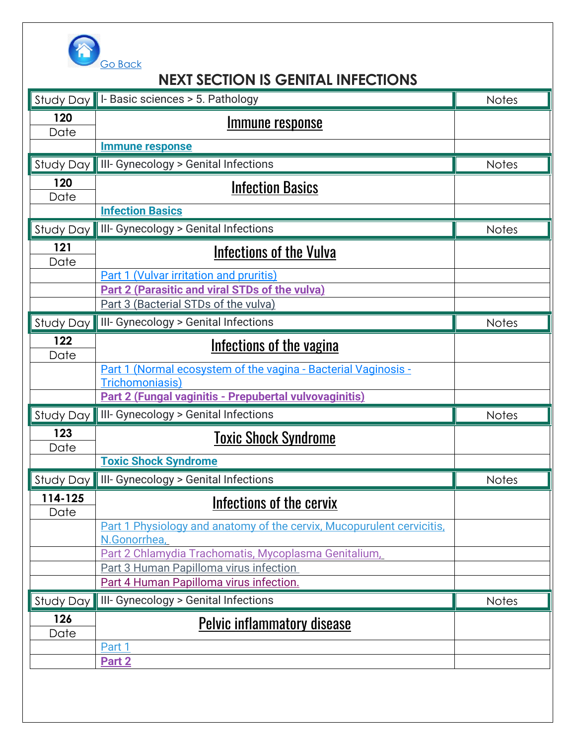

### **NEXT SECTION IS GENITAL INFECTIONS**

|                 | Study Day   I- Basic sciences > 5. Pathology                                                   | <b>Notes</b> |
|-----------------|------------------------------------------------------------------------------------------------|--------------|
| 120<br>Date     | <u>Immune response</u>                                                                         |              |
|                 | <b>Immune response</b>                                                                         |              |
| Study Day       | III- Gynecology > Genital Infections                                                           | <b>Notes</b> |
| 120             | <b>Infection Basics</b>                                                                        |              |
| Date            | <b>Infection Basics</b>                                                                        |              |
| Study Day       | III- Gynecology > Genital Infections                                                           | <b>Notes</b> |
| 121<br>Date     | <b>Infections of the Vulva</b>                                                                 |              |
|                 | Part 1 (Vulvar irritation and pruritis)                                                        |              |
|                 | Part 2 (Parasitic and viral STDs of the vulva)                                                 |              |
|                 | Part 3 (Bacterial STDs of the vulva)                                                           |              |
| Study Day       | III- Gynecology > Genital Infections                                                           | <b>Notes</b> |
| 122             | Infections of the vagina                                                                       |              |
| Date            |                                                                                                |              |
|                 | Part 1 (Normal ecosystem of the vagina - Bacterial Vaginosis -<br>Trichomoniasis)              |              |
|                 | Part 2 (Fungal vaginitis - Prepubertal vulvovaginitis)                                         |              |
| Study Day       | III- Gynecology > Genital Infections                                                           | <b>Notes</b> |
| 123<br>Date     | <b>Toxic Shock Syndrome</b>                                                                    |              |
|                 | <b>Toxic Shock Syndrome</b>                                                                    |              |
| Study Day       | III- Gynecology > Genital Infections                                                           | <b>Notes</b> |
| 114-125<br>Date | Infections of the cervix                                                                       |              |
|                 | Part 1 Physiology and anatomy of the cervix, Mucopurulent cervicitis,                          |              |
|                 | N.Gonorrhea,                                                                                   |              |
|                 | Part 2 Chlamydia Trachomatis, Mycoplasma Genitalium,<br>Part 3 Human Papilloma virus infection |              |
|                 | Part 4 Human Papilloma virus infection.                                                        |              |
| Study Day       | III- Gynecology > Genital Infections                                                           | <b>Notes</b> |
| 126             | <b>Pelvic inflammatory disease</b>                                                             |              |
| Date            |                                                                                                |              |
|                 | Part 1                                                                                         |              |
|                 | Part 2                                                                                         |              |
|                 |                                                                                                |              |